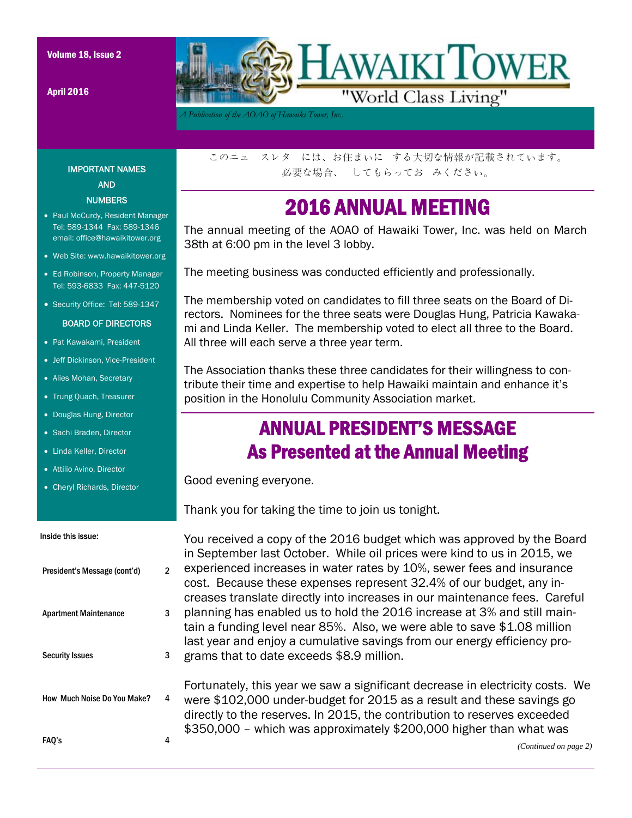April 2016



*A Publication of the AOAO of Hawaiki Tower, Inc..* 

IMPORTANT NAMES AND **NUMBERS** 

- Paul McCurdy, Resident Manager Tel: 589-1344 Fax: 589-1346 email: office@hawaikitower.org
- Web Site: www.hawaikitower.org
- Ed Robinson, Property Manager Tel: 593-6833 Fax: 447-5120
- Security Office: Tel: 589-1347

#### BOARD OF DIRECTORS

- Pat Kawakami, President
- Jeff Dickinson, Vice-President
- Alies Mohan, Secretary
- Trung Quach, Treasurer
- Douglas Hung, Director
- Sachi Braden, Director
- Linda Keller, Director
- Attilio Avino, Director
- Cheryl Richards, Director

#### Inside this issue:

| President's Message (cont'd)       | 2 |  |
|------------------------------------|---|--|
| <b>Apartment Maintenance</b>       | 3 |  |
| <b>Security Issues</b>             | 3 |  |
| <b>How Much Noise Do You Make?</b> | 4 |  |
| FAQ's                              |   |  |

このニュ スレタ には、お住まいに する大切な情報が記載されています。 必要な場合、 してもらってお みください。

### 2016 ANNUAL MEETING

The annual meeting of the AOAO of Hawaiki Tower, Inc. was held on March 38th at 6:00 pm in the level 3 lobby.

The meeting business was conducted efficiently and professionally.

The membership voted on candidates to fill three seats on the Board of Directors. Nominees for the three seats were Douglas Hung, Patricia Kawakami and Linda Keller. The membership voted to elect all three to the Board. All three will each serve a three year term.

The Association thanks these three candidates for their willingness to contribute their time and expertise to help Hawaiki maintain and enhance it's position in the Honolulu Community Association market.

### ANNUAL PRESIDENT'S MESSAGE As Presented at the Annual Meeting

Good evening everyone.

Thank you for taking the time to join us tonight.

You received a copy of the 2016 budget which was approved by the Board in September last October. While oil prices were kind to us in 2015, we experienced increases in water rates by 10%, sewer fees and insurance cost. Because these expenses represent 32.4% of our budget, any increases translate directly into increases in our maintenance fees. Careful planning has enabled us to hold the 2016 increase at 3% and still maintain a funding level near 85%. Also, we were able to save \$1.08 million last year and enjoy a cumulative savings from our energy efficiency programs that to date exceeds \$8.9 million.

Fortunately, this year we saw a significant decrease in electricity costs. We were \$102,000 under-budget for 2015 as a result and these savings go directly to the reserves. In 2015, the contribution to reserves exceeded \$350,000 – which was approximately \$200,000 higher than what was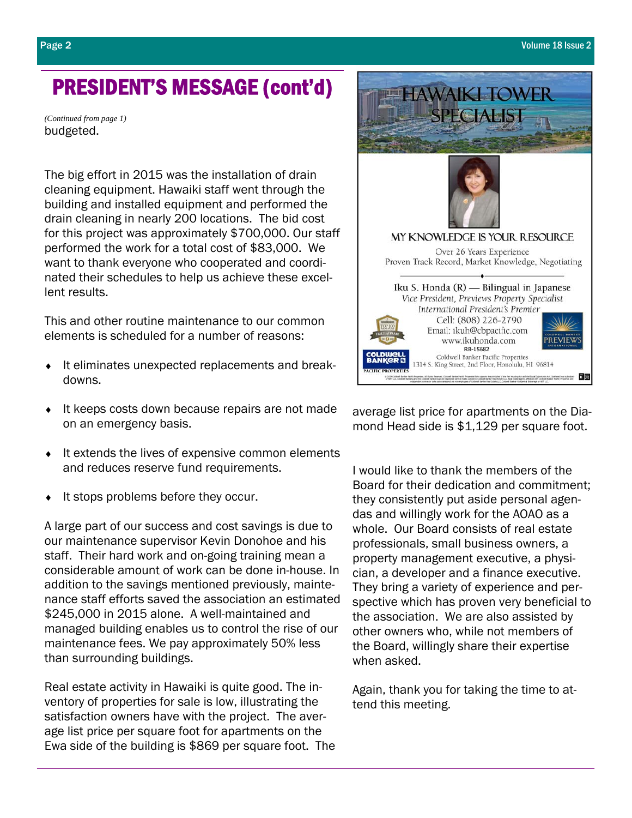## PRESIDENT'S MESSAGE (cont'd)

budgeted. *(Continued from page 1)* 

The big effort in 2015 was the installation of drain cleaning equipment. Hawaiki staff went through the building and installed equipment and performed the drain cleaning in nearly 200 locations. The bid cost for this project was approximately \$700,000. Our staff performed the work for a total cost of \$83,000. We want to thank everyone who cooperated and coordinated their schedules to help us achieve these excellent results.

This and other routine maintenance to our common elements is scheduled for a number of reasons:

- ♦ It eliminates unexpected replacements and breakdowns.
- ♦ It keeps costs down because repairs are not made on an emergency basis.
- ♦ It extends the lives of expensive common elements and reduces reserve fund requirements.
- It stops problems before they occur.

A large part of our success and cost savings is due to our maintenance supervisor Kevin Donohoe and his staff. Their hard work and on-going training mean a considerable amount of work can be done in-house. In addition to the savings mentioned previously, maintenance staff efforts saved the association an estimated \$245,000 in 2015 alone. A well-maintained and managed building enables us to control the rise of our maintenance fees. We pay approximately 50% less than surrounding buildings.

Real estate activity in Hawaiki is quite good. The inventory of properties for sale is low, illustrating the satisfaction owners have with the project. The average list price per square foot for apartments on the Ewa side of the building is \$869 per square foot. The



I would like to thank the members of the Board for their dedication and commitment; they consistently put aside personal agendas and willingly work for the AOAO as a whole. Our Board consists of real estate professionals, small business owners, a property management executive, a physician, a developer and a finance executive. They bring a variety of experience and perspective which has proven very beneficial to the association. We are also assisted by other owners who, while not members of the Board, willingly share their expertise when asked.

Again, thank you for taking the time to attend this meeting.

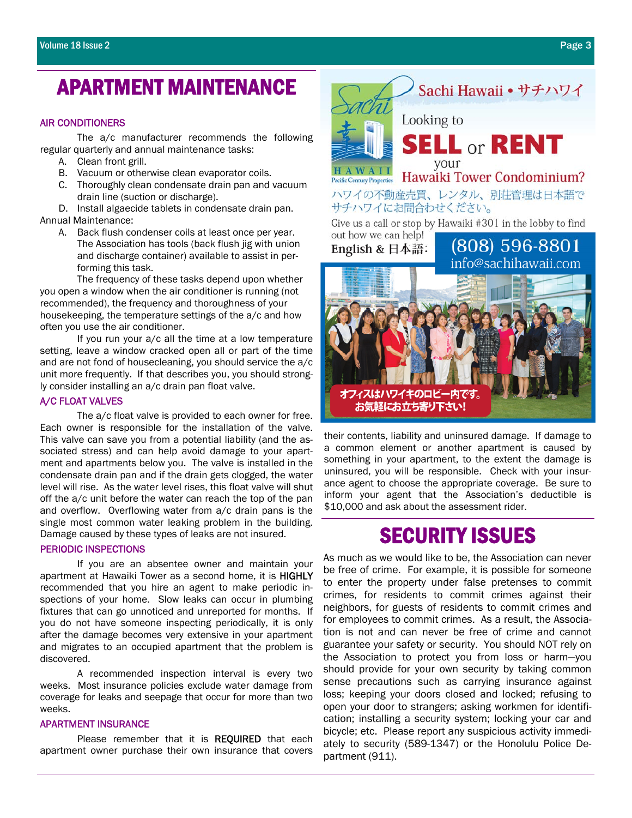### APARTMENT MAINTENANCE

#### AIR CONDITIONERS

 The a/c manufacturer recommends the following regular quarterly and annual maintenance tasks:

- A. Clean front grill.
- B. Vacuum or otherwise clean evaporator coils.
- C. Thoroughly clean condensate drain pan and vacuum drain line (suction or discharge).

D. Install algaecide tablets in condensate drain pan. Annual Maintenance:

A. Back flush condenser coils at least once per year. The Association has tools (back flush jig with union and discharge container) available to assist in performing this task.

 The frequency of these tasks depend upon whether you open a window when the air conditioner is running (not recommended), the frequency and thoroughness of your housekeeping, the temperature settings of the a/c and how often you use the air conditioner.

 If you run your a/c all the time at a low temperature setting, leave a window cracked open all or part of the time and are not fond of housecleaning, you should service the a/c unit more frequently. If that describes you, you should strongly consider installing an a/c drain pan float valve.

#### A/C FLOAT VALVES

 The a/c float valve is provided to each owner for free. Each owner is responsible for the installation of the valve. This valve can save you from a potential liability (and the associated stress) and can help avoid damage to your apartment and apartments below you. The valve is installed in the condensate drain pan and if the drain gets clogged, the water level will rise. As the water level rises, this float valve will shut off the a/c unit before the water can reach the top of the pan and overflow. Overflowing water from a/c drain pans is the single most common water leaking problem in the building. Damage caused by these types of leaks are not insured.

#### PERIODIC INSPECTIONS

 If you are an absentee owner and maintain your apartment at Hawaiki Tower as a second home, it is HIGHLY recommended that you hire an agent to make periodic inspections of your home. Slow leaks can occur in plumbing fixtures that can go unnoticed and unreported for months. If you do not have someone inspecting periodically, it is only after the damage becomes very extensive in your apartment and migrates to an occupied apartment that the problem is discovered.

 A recommended inspection interval is every two weeks. Most insurance policies exclude water damage from coverage for leaks and seepage that occur for more than two weeks.

#### APARTMENT INSURANCE

Please remember that it is REQUIRED that each apartment owner purchase their own insurance that covers



their contents, liability and uninsured damage. If damage to a common element or another apartment is caused by something in your apartment, to the extent the damage is uninsured, you will be responsible. Check with your insurance agent to choose the appropriate coverage. Be sure to inform your agent that the Association's deductible is \$10,000 and ask about the assessment rider.

# SECURITY ISSUES

As much as we would like to be, the Association can never be free of crime. For example, it is possible for someone to enter the property under false pretenses to commit crimes, for residents to commit crimes against their neighbors, for guests of residents to commit crimes and for employees to commit crimes. As a result, the Association is not and can never be free of crime and cannot guarantee your safety or security. You should NOT rely on the Association to protect you from loss or harm—you should provide for your own security by taking common sense precautions such as carrying insurance against loss; keeping your doors closed and locked; refusing to open your door to strangers; asking workmen for identification; installing a security system; locking your car and bicycle; etc. Please report any suspicious activity immediately to security (589-1347) or the Honolulu Police Department (911).